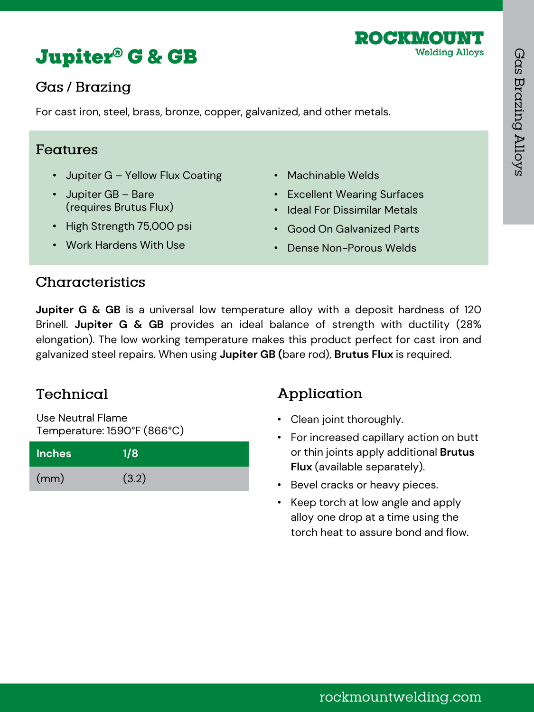



# Gas / Brazing

For cast iron, steel, brass, bronze, copper, galvanized, and other metals.

#### Features

- Jupiter G Yellow Flux Coating
- Jupiter GB Bare (requires Brutus Flux)
- High Strength 75,000 psi
- Machinable Welds
- Excellent Wearing Surfaces
- Ideal For Dissimilar Metals
- Good On Galvanized Parts
- Dense Non-Porous Welds

• Work Hardens With Use

## Characteristics

**Jupiter G & GB** is a universal low temperature alloy with a deposit hardness of 120 Brinell. **Jupiter G & GB** provides an ideal balance of strength with ductility (28% elongation). The low working temperature makes this product perfect for cast iron and galvanized steel repairs. When using **Jupiter GB (**bare rod), **Brutus Flux** is required.

# Technical

Use Neutral Flame Temperature: 1590°F (866°C)

| <b>Inches</b> | 1/8   |
|---------------|-------|
| (mm)          | (3.2) |

# Application

- Clean joint thoroughly.
- For increased capillary action on butt or thin joints apply additional **Brutus Flux** (available separately).
- Bevel cracks or heavy pieces.
- Keep torch at low angle and apply alloy one drop at a time using the torch heat to assure bond and flow.